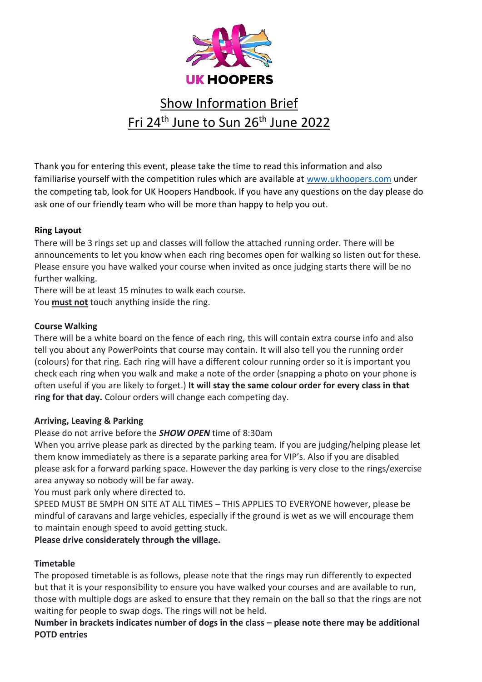

# Show Information Brief <u>Fri 24<sup>th</sup> June to Sun 26<sup>th</sup> June 2022</u>

Thank you for entering this event, please take the time to read this information and also familiarise yourself with the competition rules which are available at [www.ukhoopers.com](http://www.ukhoopers.com/) under the competing tab, look for UK Hoopers Handbook. If you have any questions on the day please do ask one of our friendly team who will be more than happy to help you out.

## **Ring Layout**

There will be 3 rings set up and classes will follow the attached running order. There will be announcements to let you know when each ring becomes open for walking so listen out for these. Please ensure you have walked your course when invited as once judging starts there will be no further walking.

There will be at least 15 minutes to walk each course.

You **must not** touch anything inside the ring.

## **Course Walking**

There will be a white board on the fence of each ring, this will contain extra course info and also tell you about any PowerPoints that course may contain. It will also tell you the running order (colours) for that ring. Each ring will have a different colour running order so it is important you check each ring when you walk and make a note of the order (snapping a photo on your phone is often useful if you are likely to forget.) **It will stay the same colour order for every class in that ring for that day.** Colour orders will change each competing day.

#### **Arriving, Leaving & Parking**

## Please do not arrive before the *SHOW OPEN* time of 8:30am

When you arrive please park as directed by the parking team. If you are judging/helping please let them know immediately as there is a separate parking area for VIP's. Also if you are disabled please ask for a forward parking space. However the day parking is very close to the rings/exercise area anyway so nobody will be far away.

You must park only where directed to.

SPEED MUST BE 5MPH ON SITE AT ALL TIMES – THIS APPLIES TO EVERYONE however, please be mindful of caravans and large vehicles, especially if the ground is wet as we will encourage them to maintain enough speed to avoid getting stuck.

**Please drive considerately through the village.** 

## **Timetable**

The proposed timetable is as follows, please note that the rings may run differently to expected but that it is your responsibility to ensure you have walked your courses and are available to run, those with multiple dogs are asked to ensure that they remain on the ball so that the rings are not waiting for people to swap dogs. The rings will not be held.

**Number in brackets indicates number of dogs in the class – please note there may be additional POTD entries**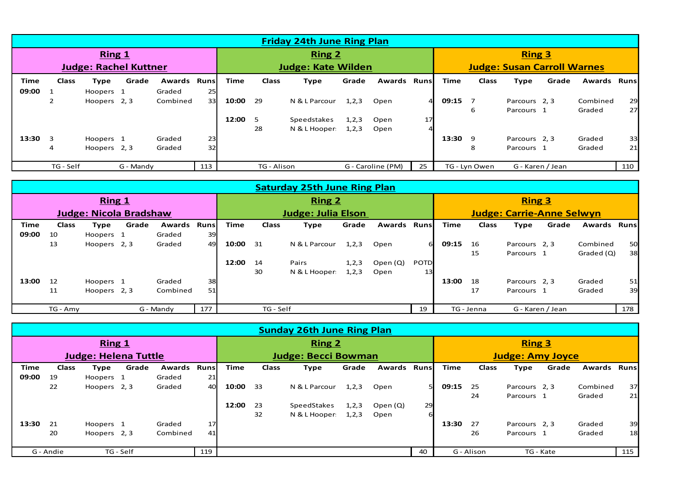|                              | <b>Friday 24th June Ring Plan</b> |              |           |                    |                           |               |              |               |         |                    |               |                                    |               |               |                  |          |       |
|------------------------------|-----------------------------------|--------------|-----------|--------------------|---------------------------|---------------|--------------|---------------|---------|--------------------|---------------|------------------------------------|---------------|---------------|------------------|----------|-------|
| Ring 1                       |                                   |              |           |                    |                           | <b>Ring 2</b> |              |               |         |                    | <b>Ring 3</b> |                                    |               |               |                  |          |       |
| <b>Judge: Rachel Kuttner</b> |                                   |              |           |                    | <b>Judge: Kate Wilden</b> |               |              |               |         |                    |               | <b>Judge: Susan Carroll Warnes</b> |               |               |                  |          |       |
| Time                         | <b>Class</b>                      | Type         | Grade     | <b>Awards Runs</b> |                           | Time          | <b>Class</b> | Type          | Grade   | <b>Awards Runs</b> |               | Time                               | <b>Class</b>  | Type          | Grade            | Awards   | Runsl |
| 09:00 1                      |                                   | Hoopers 1    |           | Graded             | 25                        |               |              |               |         |                    |               |                                    |               |               |                  |          |       |
|                              | $\overline{2}$                    | Hoopers 2, 3 |           | Combined           | 33                        | 10:00         | 29           | N & L Parcour | 1, 2, 3 | Open               |               | 09:15                              |               | Parcours 2, 3 |                  | Combined | 29    |
|                              |                                   |              |           |                    |                           |               |              |               |         |                    |               |                                    | 6             | Parcours 1    |                  | Graded   | 27    |
|                              |                                   |              |           |                    |                           | 12:00         | 5            | Speedstakes   | 1, 2, 3 | Open               | 17            |                                    |               |               |                  |          |       |
|                              |                                   |              |           |                    |                           |               | 28           | N & L Hooper: | 1, 2, 3 | Open               |               |                                    |               |               |                  |          |       |
| $13:30 \quad 3$              |                                   | Hoopers 1    |           | Graded             | 23                        |               |              |               |         |                    |               | 13:30                              | q             | Parcours 2, 3 |                  | Graded   | 33    |
|                              | 4                                 | Hoopers 2, 3 |           | Graded             | 32                        |               |              |               |         |                    |               |                                    | 8             | Parcours 1    |                  | Graded   | 21    |
|                              |                                   |              |           |                    |                           |               |              |               |         |                    |               |                                    |               |               |                  |          |       |
|                              | TG - Self                         |              | G - Mandy |                    | 113                       |               | TG - Alison  |               |         | G - Caroline (PM)  | 25            |                                    | TG - Lyn Owen |               | G - Karen / Jean |          | 110   |

|                               | <b>Saturday 25th June Ring Plan</b> |              |       |           |       |               |                           |               |         |                    |               |       |                                  |               |                  |            |           |
|-------------------------------|-------------------------------------|--------------|-------|-----------|-------|---------------|---------------------------|---------------|---------|--------------------|---------------|-------|----------------------------------|---------------|------------------|------------|-----------|
| Ring 1                        |                                     |              |       |           |       | <b>Ring 2</b> |                           |               |         |                    | <b>Ring 3</b> |       |                                  |               |                  |            |           |
| <b>Judge: Nicola Bradshaw</b> |                                     |              |       |           |       |               | <b>Judge: Julia Elson</b> |               |         |                    |               |       | <b>Judge: Carrie-Anne Selwyn</b> |               |                  |            |           |
| Time                          | Class                               | Type         | Grade | Awards    | Runsl | Time          | <b>Class</b>              | Type          | Grade   | <b>Awards Runs</b> |               | Time  | Class                            | Type          | Grade            | Awards     | _Runsl    |
| 09:00                         | 10                                  | Hoopers 1    |       | Graded    | 39    |               |                           |               |         |                    |               |       |                                  |               |                  |            |           |
|                               | 13                                  | Hoopers 2, 3 |       | Graded    | 49    | 10:00         | 31                        | N & L Parcour | 1, 2, 3 | Open               | 61            | 09:15 | 16                               | Parcours 2, 3 |                  | Combined   | <b>50</b> |
|                               |                                     |              |       |           |       |               |                           |               |         |                    |               |       | 15                               | Parcours 1    |                  | Graded (Q) | 38        |
|                               |                                     |              |       |           |       | 12:00         | 14                        | Pairs         | 1, 2, 3 | Open $(Q)$         | <b>POTD</b>   |       |                                  |               |                  |            |           |
|                               |                                     |              |       |           |       |               | 30                        | N & L Hooper: | 1, 2, 3 | Open               | 13            |       |                                  |               |                  |            |           |
| 13:00                         | 12                                  | Hoopers 1    |       | Graded    | 38    |               |                           |               |         |                    |               | 13:00 | 18                               | Parcours 2, 3 |                  | Graded     | 51        |
|                               | 11                                  | Hoopers 2, 3 |       | Combined  | 51    |               |                           |               |         |                    |               |       | 17                               | Parcours 1    |                  | Graded     | 39        |
|                               |                                     |              |       |           |       |               |                           |               |         |                    |               |       |                                  |               |                  |            |           |
|                               | TG - Amy                            |              |       | G - Mandy | 177   |               | TG - Self                 |               |         |                    | 19            |       | TG - Jenna                       |               | G - Karen / Jean |            | 178       |

|                             | <b>Sunday 26th June Ring Plan</b> |              |           |                    |     |       |                            |               |         |                     |               |             |                         |               |           |          |       |
|-----------------------------|-----------------------------------|--------------|-----------|--------------------|-----|-------|----------------------------|---------------|---------|---------------------|---------------|-------------|-------------------------|---------------|-----------|----------|-------|
| Ring 1                      |                                   |              |           |                    |     |       | <b>Ring 2</b>              |               |         |                     | <b>Ring 3</b> |             |                         |               |           |          |       |
| <b>Judge: Helena Tuttle</b> |                                   |              |           |                    |     |       | <b>Judge: Becci Bowman</b> |               |         |                     |               |             | <b>Judge: Amy Joyce</b> |               |           |          |       |
| Time                        | <b>Class</b>                      | Type         | Grade     | <b>Awards Runs</b> |     | Time  | <b>Class</b>               | Type          | Grade   | <b>Awards Runsl</b> |               | <b>Time</b> | Class                   | Type          | Grade     | Awards   | Runsl |
| 09:00                       | 19                                | Hoopers 1    |           | Graded             | 21  |       |                            |               |         |                     |               |             |                         |               |           |          |       |
|                             | 22                                | Hoopers 2, 3 |           | Graded             | 40  | 10:00 | 33                         | N & L Parcour | 1, 2, 3 | Open                | 51            | 09:15       | 25                      | Parcours 2, 3 |           | Combined | 37    |
|                             |                                   |              |           |                    |     |       |                            |               |         |                     |               |             | 24                      | Parcours 1    |           | Graded   | 21    |
|                             |                                   |              |           |                    |     | 12:00 | 23                         | SpeedStakes   | 1, 2, 3 | Open $(Q)$          | 29            |             |                         |               |           |          |       |
|                             |                                   |              |           |                    |     |       | 32                         | N & L Hooper: | 1, 2, 3 | Open                | 6             |             |                         |               |           |          |       |
| 13:30                       | 21                                | Hoopers 1    |           | Graded             | 17  |       |                            |               |         |                     |               | 13:30       | 27                      | Parcours 2, 3 |           | Graded   | 39    |
|                             | 20                                | Hoopers 2, 3 |           | Combined           | 41  |       |                            |               |         |                     |               |             | 26                      | Parcours 1    |           | Graded   | 18    |
|                             |                                   |              |           |                    |     |       |                            |               |         |                     |               |             |                         |               |           |          |       |
|                             | G - Andie                         |              | TG - Self |                    | 119 |       |                            |               |         |                     | 40            |             | G - Alison              |               | TG - Kate |          | 115   |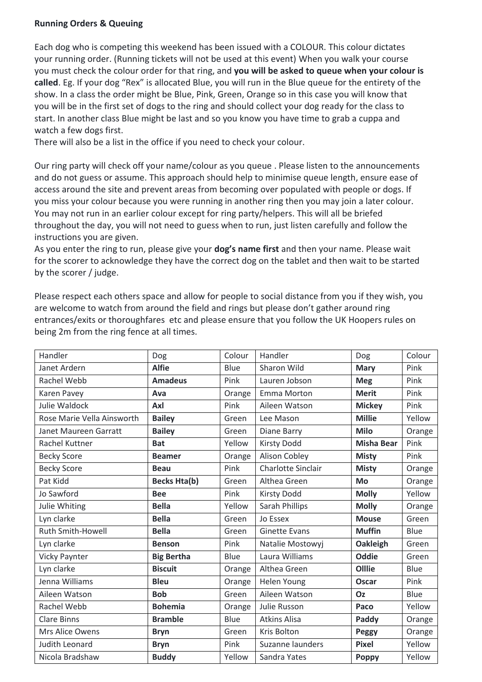#### **Running Orders & Queuing**

Each dog who is competing this weekend has been issued with a COLOUR. This colour dictates your running order. (Running tickets will not be used at this event) When you walk your course you must check the colour order for that ring, and **you will be asked to queue when your colour is called**. Eg. If your dog "Rex" is allocated Blue, you will run in the Blue queue for the entirety of the show. In a class the order might be Blue, Pink, Green, Orange so in this case you will know that you will be in the first set of dogs to the ring and should collect your dog ready for the class to start. In another class Blue might be last and so you know you have time to grab a cuppa and watch a few dogs first.

There will also be a list in the office if you need to check your colour.

Our ring party will check off your name/colour as you queue . Please listen to the announcements and do not guess or assume. This approach should help to minimise queue length, ensure ease of access around the site and prevent areas from becoming over populated with people or dogs. If you miss your colour because you were running in another ring then you may join a later colour. You may not run in an earlier colour except for ring party/helpers. This will all be briefed throughout the day, you will not need to guess when to run, just listen carefully and follow the instructions you are given.

As you enter the ring to run, please give your **dog's name first** and then your name. Please wait for the scorer to acknowledge they have the correct dog on the tablet and then wait to be started by the scorer / judge.

Please respect each others space and allow for people to social distance from you if they wish, you are welcome to watch from around the field and rings but please don't gather around ring entrances/exits or thoroughfares etc and please ensure that you follow the UK Hoopers rules on being 2m from the ring fence at all times.

| Handler                    | Dog                 | Colour | Handler                   | Dog               | Colour      |
|----------------------------|---------------------|--------|---------------------------|-------------------|-------------|
| Janet Ardern               | <b>Alfie</b>        | Blue   | Sharon Wild               | <b>Mary</b>       | Pink        |
| Rachel Webb                | <b>Amadeus</b>      | Pink   | Lauren Jobson             | <b>Meg</b>        | Pink        |
| Karen Pavey                | Ava                 | Orange | Emma Morton               | <b>Merit</b>      | Pink        |
| Julie Waldock              | Axl                 | Pink   | Aileen Watson             | <b>Mickey</b>     | Pink        |
| Rose Marie Vella Ainsworth | <b>Bailey</b>       | Green  | Lee Mason                 | <b>Millie</b>     | Yellow      |
| Janet Maureen Garratt      | <b>Bailey</b>       | Green  | Diane Barry               | <b>Milo</b>       | Orange      |
| Rachel Kuttner             | <b>Bat</b>          | Yellow | <b>Kirsty Dodd</b>        | <b>Misha Bear</b> | Pink        |
| <b>Becky Score</b>         | <b>Beamer</b>       | Orange | Alison Cobley             | <b>Misty</b>      | Pink        |
| <b>Becky Score</b>         | <b>Beau</b>         | Pink   | <b>Charlotte Sinclair</b> | <b>Misty</b>      | Orange      |
| Pat Kidd                   | <b>Becks Hta(b)</b> | Green  | Althea Green              | Mo                | Orange      |
| Jo Sawford                 | <b>Bee</b>          | Pink   | <b>Kirsty Dodd</b>        | <b>Molly</b>      | Yellow      |
| Julie Whiting              | <b>Bella</b>        | Yellow | Sarah Phillips            | <b>Molly</b>      | Orange      |
| Lyn clarke                 | <b>Bella</b>        | Green  | Jo Essex                  | <b>Mouse</b>      | Green       |
| <b>Ruth Smith-Howell</b>   | <b>Bella</b>        | Green  | <b>Ginette Evans</b>      | <b>Muffin</b>     | Blue        |
| Lyn clarke                 | <b>Benson</b>       | Pink   | Natalie Mostowyj          | Oakleigh          | Green       |
| <b>Vicky Paynter</b>       | <b>Big Bertha</b>   | Blue   | Laura Williams            | <b>Oddie</b>      | Green       |
| Lyn clarke                 | <b>Biscuit</b>      | Orange | Althea Green              | Olllie            | <b>Blue</b> |
| Jenna Williams             | <b>Bleu</b>         | Orange | Helen Young               | <b>Oscar</b>      | Pink        |
| Aileen Watson              | <b>Bob</b>          | Green  | Aileen Watson             | <b>Oz</b>         | Blue        |
| Rachel Webb                | <b>Bohemia</b>      | Orange | Julie Russon              | Paco              | Yellow      |
| <b>Clare Binns</b>         | <b>Bramble</b>      | Blue   | <b>Atkins Alisa</b>       | Paddy             | Orange      |
| Mrs Alice Owens            | <b>Bryn</b>         | Green  | Kris Bolton               | Peggy             | Orange      |
| Judith Leonard             | <b>Bryn</b>         | Pink   | Suzanne launders          | <b>Pixel</b>      | Yellow      |
| Nicola Bradshaw            | <b>Buddy</b>        | Yellow | Sandra Yates              | <b>Poppy</b>      | Yellow      |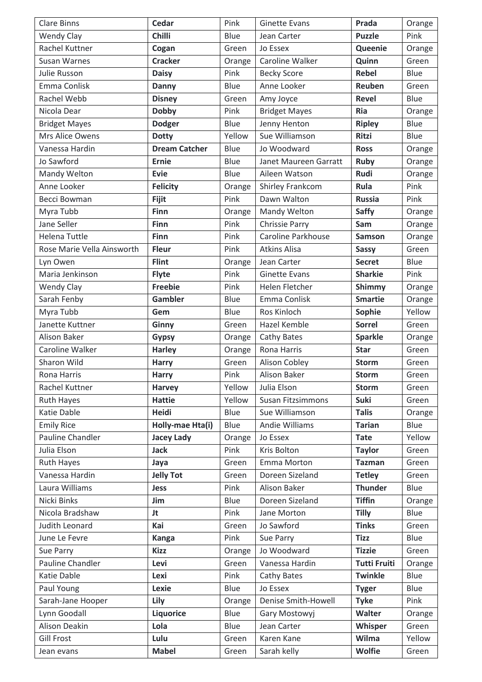| <b>Clare Binns</b>         | <b>Cedar</b>         | Pink   | <b>Ginette Evans</b>     | Prada               | Orange |
|----------------------------|----------------------|--------|--------------------------|---------------------|--------|
| <b>Wendy Clay</b>          | <b>Chilli</b>        | Blue   | Jean Carter              | <b>Puzzle</b>       | Pink   |
| Rachel Kuttner             | Cogan                | Green  | Jo Essex                 | Queenie             | Orange |
| Susan Warnes               | <b>Cracker</b>       | Orange | Caroline Walker          | Quinn               | Green  |
| Julie Russon               | <b>Daisy</b>         | Pink   | <b>Becky Score</b>       | <b>Rebel</b>        | Blue   |
| Emma Conlisk               | <b>Danny</b>         | Blue   | Anne Looker              | Reuben              | Green  |
| Rachel Webb                | <b>Disney</b>        | Green  | Amy Joyce                | <b>Revel</b>        | Blue   |
| Nicola Dear                | <b>Dobby</b>         | Pink   | <b>Bridget Mayes</b>     | <b>Ria</b>          | Orange |
| <b>Bridget Mayes</b>       | <b>Dodger</b>        | Blue   | Jenny Henton             | <b>Ripley</b>       | Blue   |
| Mrs Alice Owens            | <b>Dotty</b>         | Yellow | Sue Williamson           | <b>Ritzi</b>        | Blue   |
| Vanessa Hardin             | <b>Dream Catcher</b> | Blue   | Jo Woodward              | <b>Ross</b>         | Orange |
| Jo Sawford                 | <b>Ernie</b>         | Blue   | Janet Maureen Garratt    | <b>Ruby</b>         | Orange |
| Mandy Welton               | <b>Evie</b>          | Blue   | Aileen Watson            | Rudi                | Orange |
| Anne Looker                | <b>Felicity</b>      | Orange | Shirley Frankcom         | Rula                | Pink   |
| Becci Bowman               | <b>Fijit</b>         | Pink   | Dawn Walton              | <b>Russia</b>       | Pink   |
| Myra Tubb                  | Finn                 | Orange | Mandy Welton             | <b>Saffy</b>        | Orange |
| Jane Seller                | Finn                 | Pink   | <b>Chrissie Parry</b>    | Sam                 | Orange |
| <b>Helena Tuttle</b>       | <b>Finn</b>          | Pink   | Caroline Parkhouse       | <b>Samson</b>       | Orange |
| Rose Marie Vella Ainsworth | <b>Fleur</b>         | Pink   | <b>Atkins Alisa</b>      | <b>Sassy</b>        | Green  |
| Lyn Owen                   | <b>Flint</b>         | Orange | Jean Carter              | <b>Secret</b>       | Blue   |
| Maria Jenkinson            | <b>Flyte</b>         | Pink   | <b>Ginette Evans</b>     | <b>Sharkie</b>      | Pink   |
| <b>Wendy Clay</b>          | <b>Freebie</b>       | Pink   | Helen Fletcher           | Shimmy              | Orange |
| Sarah Fenby                | <b>Gambler</b>       | Blue   | Emma Conlisk             | <b>Smartie</b>      | Orange |
| Myra Tubb                  | Gem                  | Blue   | Ros Kinloch              | Sophie              | Yellow |
| Janette Kuttner            | Ginny                | Green  | Hazel Kemble             | <b>Sorrel</b>       | Green  |
| <b>Alison Baker</b>        | <b>Gypsy</b>         | Orange | Cathy Bates              | <b>Sparkle</b>      | Orange |
| Caroline Walker            | <b>Harley</b>        | Orange | Rona Harris              | <b>Star</b>         | Green  |
| Sharon Wild                | <b>Harry</b>         | Green  | Alison Cobley            | <b>Storm</b>        | Green  |
| Rona Harris                | Harry                | Pink   | <b>Alison Baker</b>      | <b>Storm</b>        | Green  |
| Rachel Kuttner             | <b>Harvey</b>        | Yellow | Julia Elson              | <b>Storm</b>        | Green  |
| <b>Ruth Hayes</b>          | <b>Hattie</b>        | Yellow | <b>Susan Fitzsimmons</b> | Suki                | Green  |
| Katie Dable                | <b>Heidi</b>         | Blue   | Sue Williamson           | <b>Talis</b>        | Orange |
| <b>Emily Rice</b>          | Holly-mae Hta(i)     | Blue   | <b>Andie Williams</b>    | <b>Tarian</b>       | Blue   |
| Pauline Chandler           | <b>Jacey Lady</b>    | Orange | Jo Essex                 | <b>Tate</b>         | Yellow |
| Julia Elson                | <b>Jack</b>          | Pink   | Kris Bolton              | <b>Taylor</b>       | Green  |
| <b>Ruth Hayes</b>          | Jaya                 | Green  | Emma Morton              | <b>Tazman</b>       | Green  |
| Vanessa Hardin             | <b>Jelly Tot</b>     | Green  | Doreen Sizeland          | <b>Tetley</b>       | Green  |
| Laura Williams             | <b>Jess</b>          | Pink   | Alison Baker             | <b>Thunder</b>      | Blue   |
| Nicki Binks                | Jim                  | Blue   | Doreen Sizeland          | <b>Tiffin</b>       | Orange |
| Nicola Bradshaw            | Jt                   | Pink   | Jane Morton              | <b>Tilly</b>        | Blue   |
| Judith Leonard             | Kai                  | Green  | Jo Sawford               | <b>Tinks</b>        | Green  |
| June Le Fevre              | <b>Kanga</b>         | Pink   | Sue Parry                | <b>Tizz</b>         | Blue   |
| Sue Parry                  | <b>Kizz</b>          | Orange | Jo Woodward              | <b>Tizzie</b>       | Green  |
| Pauline Chandler           | Levi                 | Green  | Vanessa Hardin           | <b>Tutti Fruiti</b> | Orange |
| Katie Dable                | Lexi                 | Pink   | Cathy Bates              | <b>Twinkle</b>      | Blue   |
| Paul Young                 | Lexie                | Blue   | Jo Essex                 | <b>Tyger</b>        | Blue   |
| Sarah-Jane Hooper          | Lily                 | Orange | Denise Smith-Howell      | <b>Tyke</b>         | Pink   |
| Lynn Goodall               | <b>Liquorice</b>     | Blue   | Gary Mostowyj            | Walter              | Orange |
| Alison Deakin              | Lola                 | Blue   | Jean Carter              | Whisper             | Green  |
| <b>Gill Frost</b>          | Lulu                 | Green  | Karen Kane               | Wilma               | Yellow |
| Jean evans                 | <b>Mabel</b>         | Green  | Sarah kelly              | <b>Wolfie</b>       | Green  |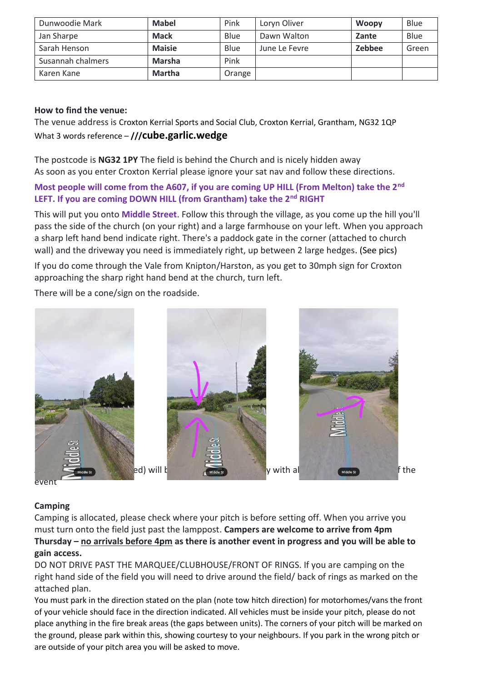| Dunwoodie Mark    | <b>Mabel</b>  | Pink   | Loryn Oliver  | <b>Woopy</b> | Blue  |
|-------------------|---------------|--------|---------------|--------------|-------|
| Jan Sharpe        | <b>Mack</b>   | Blue   | Dawn Walton   | Zante        | Blue  |
| Sarah Henson      | <b>Maisie</b> | Blue   | June Le Fevre | Zebbee       | Green |
| Susannah chalmers | <b>Marsha</b> | Pink   |               |              |       |
| Karen Kane        | <b>Martha</b> | Orange |               |              |       |

### **How to find the venue:**

The venue address is Croxton Kerrial Sports and Social Club, Croxton Kerrial, Grantham, NG32 1QP What 3 words reference – **///cube.garlic.wedge**

The postcode is **NG32 1PY** The field is behind the Church and is nicely hidden away As soon as you enter Croxton Kerrial please ignore your sat nav and follow these directions.

## **Most people will come from the A607, if you are coming UP HILL (From Melton) take the 2nd LEFT. If you are coming DOWN HILL (from Grantham) take the 2nd RIGHT**

This will put you onto **Middle Street**. Follow this through the village, as you come up the hill you'll pass the side of the church (on your right) and a large farmhouse on your left. When you approach a sharp left hand bend indicate right. There's a paddock gate in the corner (attached to church wall) and the driveway you need is immediately right, up between 2 large hedges. (See pics)

If you do come through the Vale from Knipton/Harston, as you get to 30mph sign for Croxton approaching the sharp right hand bend at the church, turn left.

There will be a cone/sign on the roadside.



#### event

#### **Camping**

Camping is allocated, please check where your pitch is before setting off. When you arrive you must turn onto the field just past the lamppost. **Campers are welcome to arrive from 4pm Thursday – no arrivals before 4pm as there is another event in progress and you will be able to gain access.** 

DO NOT DRIVE PAST THE MARQUEE/CLUBHOUSE/FRONT OF RINGS. If you are camping on the right hand side of the field you will need to drive around the field/ back of rings as marked on the attached plan.

You must park in the direction stated on the plan (note tow hitch direction) for motorhomes/vans the front of your vehicle should face in the direction indicated. All vehicles must be inside your pitch, please do not place anything in the fire break areas (the gaps between units). The corners of your pitch will be marked on the ground, please park within this, showing courtesy to your neighbours. If you park in the wrong pitch or are outside of your pitch area you will be asked to move.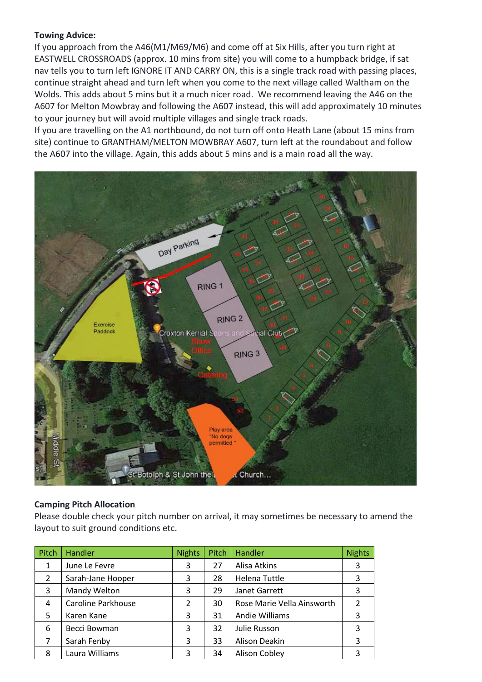#### **Towing Advice:**

If you approach from the A46(M1/M69/M6) and come off at Six Hills, after you turn right at EASTWELL CROSSROADS (approx. 10 mins from site) you will come to a humpback bridge, if sat nav tells you to turn left IGNORE IT AND CARRY ON, this is a single track road with passing places, continue straight ahead and turn left when you come to the next village called Waltham on the Wolds. This adds about 5 mins but it a much nicer road. We recommend leaving the A46 on the A607 for Melton Mowbray and following the A607 instead, this will add approximately 10 minutes to your journey but will avoid multiple villages and single track roads.

If you are travelling on the A1 northbound, do not turn off onto Heath Lane (about 15 mins from site) continue to GRANTHAM/MELTON MOWBRAY A607, turn left at the roundabout and follow the A607 into the village. Again, this adds about 5 mins and is a main road all the way.



#### **Camping Pitch Allocation**

Please double check your pitch number on arrival, it may sometimes be necessary to amend the layout to suit ground conditions etc.

| Pitch          | <b>Handler</b>     | <b>Nights</b> | Pitch | <b>Handler</b>             | <b>Nights</b> |
|----------------|--------------------|---------------|-------|----------------------------|---------------|
| 1              | June Le Fevre      | 3             | 27    | Alisa Atkins               | 3             |
| $\overline{2}$ | Sarah-Jane Hooper  | 3             | 28    | Helena Tuttle              | 3             |
| 3              | Mandy Welton       | 3             | 29    | Janet Garrett              | 3             |
| 4              | Caroline Parkhouse | 2             | 30    | Rose Marie Vella Ainsworth | $\mathcal{P}$ |
| 5              | Karen Kane         | 3             | 31    | Andie Williams             | 3             |
| 6              | Becci Bowman       | 3             | 32    | Julie Russon               | 3             |
| 7              | Sarah Fenby        | 3             | 33    | Alison Deakin              | 3             |
| 8              | Laura Williams     | 3             | 34    | <b>Alison Cobley</b>       | 3             |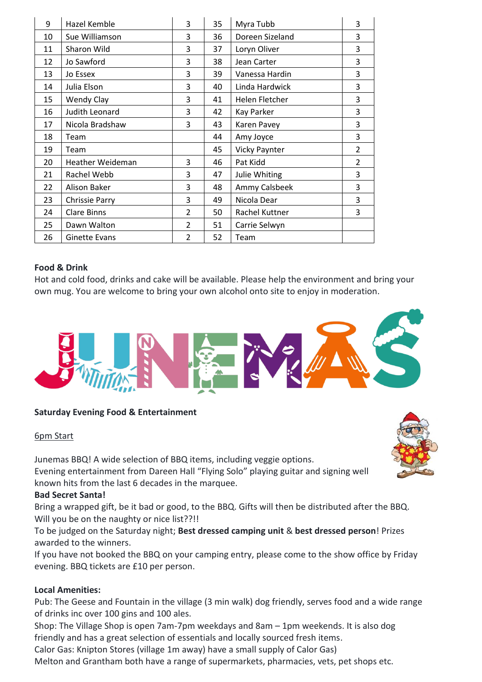| 9  | Hazel Kemble          | 3              | 35 | Myra Tubb       | 3              |
|----|-----------------------|----------------|----|-----------------|----------------|
| 10 | Sue Williamson        | 3              | 36 | Doreen Sizeland | 3              |
| 11 | Sharon Wild           | 3              | 37 | Loryn Oliver    | 3              |
| 12 | Jo Sawford            | 3              | 38 | Jean Carter     | 3              |
| 13 | Jo Essex              | 3              | 39 | Vanessa Hardin  | 3              |
| 14 | Julia Elson           | 3              | 40 | Linda Hardwick  | 3              |
| 15 | <b>Wendy Clay</b>     | 3              | 41 | Helen Fletcher  | 3              |
| 16 | Judith Leonard        | 3              | 42 | Kay Parker      | 3              |
| 17 | Nicola Bradshaw       | 3              | 43 | Karen Pavey     | 3              |
| 18 | Team                  |                | 44 | Amy Joyce       | 3              |
| 19 | Team                  |                | 45 | Vicky Paynter   | $\overline{2}$ |
| 20 | Heather Weideman      | 3              | 46 | Pat Kidd        | $\overline{2}$ |
| 21 | Rachel Webb           | 3              | 47 | Julie Whiting   | 3              |
| 22 | <b>Alison Baker</b>   | 3              | 48 | Ammy Calsbeek   | 3              |
| 23 | <b>Chrissie Parry</b> | 3              | 49 | Nicola Dear     | 3              |
| 24 | <b>Clare Binns</b>    | $\mathfrak{D}$ | 50 | Rachel Kuttner  | 3              |
| 25 | Dawn Walton           | $\mathcal{P}$  | 51 | Carrie Selwyn   |                |
| 26 | <b>Ginette Evans</b>  | $\overline{2}$ | 52 | Team            |                |

#### **Food & Drink**

Hot and cold food, drinks and cake will be available. Please help the environment and bring your own mug. You are welcome to bring your own alcohol onto site to enjoy in moderation.



#### **Saturday Evening Food & Entertainment**

#### 6pm Start

Junemas BBQ! A wide selection of BBQ items, including veggie options. Evening entertainment from Dareen Hall "Flying Solo" playing guitar and signing well known hits from the last 6 decades in the marquee.

#### **Bad Secret Santa!**

Bring a wrapped gift, be it bad or good, to the BBQ. Gifts will then be distributed after the BBQ. Will you be on the naughty or nice list??!!

To be judged on the Saturday night; **Best dressed camping unit** & **best dressed person**! Prizes awarded to the winners.

If you have not booked the BBQ on your camping entry, please come to the show office by Friday evening. BBQ tickets are £10 per person.

#### **Local Amenities:**

Pub: The Geese and Fountain in the village (3 min walk) dog friendly, serves food and a wide range of drinks inc over 100 gins and 100 ales.

Shop: The Village Shop is open 7am-7pm weekdays and 8am – 1pm weekends. It is also dog friendly and has a great selection of essentials and locally sourced fresh items.

Calor Gas: Knipton Stores (village 1m away) have a small supply of Calor Gas)

Melton and Grantham both have a range of supermarkets, pharmacies, vets, pet shops etc.